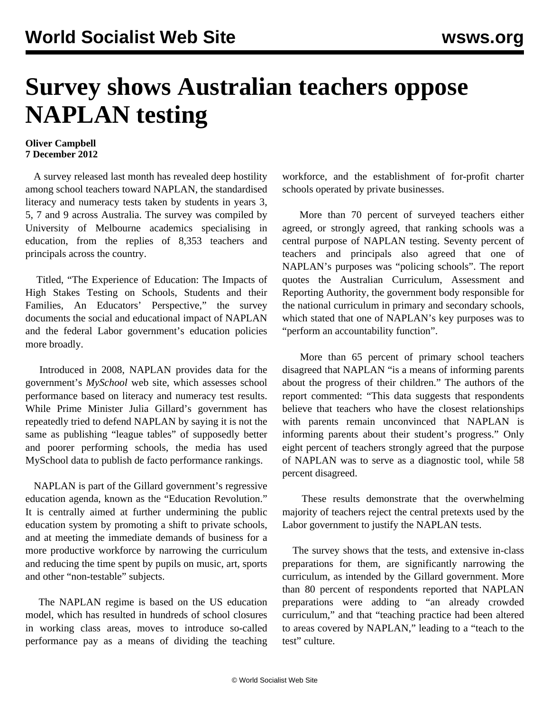## **Survey shows Australian teachers oppose NAPLAN testing**

## **Oliver Campbell 7 December 2012**

 A survey released last month has revealed deep hostility among school teachers toward NAPLAN, the standardised literacy and numeracy tests taken by students in years 3, 5, 7 and 9 across Australia. The survey was compiled by University of Melbourne academics specialising in education, from the replies of 8,353 teachers and principals across the country.

 Titled, "The Experience of Education: The Impacts of High Stakes Testing on Schools, Students and their Families, An Educators' Perspective," the survey documents the social and educational impact of NAPLAN and the federal Labor government's education policies more broadly.

 Introduced in 2008, NAPLAN provides data for the government's *MySchool* web site, which assesses school performance based on literacy and numeracy test results. While Prime Minister Julia Gillard's government has repeatedly tried to defend NAPLAN by saying it is not the same as publishing "league tables" of supposedly better and poorer performing schools, the media has used MySchool data to publish de facto performance rankings.

 NAPLAN is part of the Gillard government's regressive education agenda, known as the "Education Revolution." It is centrally aimed at further undermining the public education system by promoting a shift to private schools, and at meeting the immediate demands of business for a more productive workforce by narrowing the curriculum and reducing the time spent by pupils on music, art, sports and other "non-testable" subjects.

 The NAPLAN regime is based on the US education model, which has resulted in hundreds of school closures in working class areas, moves to introduce so-called performance pay as a means of dividing the teaching workforce, and the establishment of for-profit charter schools operated by private businesses.

 More than 70 percent of surveyed teachers either agreed, or strongly agreed, that ranking schools was a central purpose of NAPLAN testing. Seventy percent of teachers and principals also agreed that one of NAPLAN's purposes was "policing schools". The report quotes the Australian Curriculum, Assessment and Reporting Authority, the government body responsible for the national curriculum in primary and secondary schools, which stated that one of NAPLAN's key purposes was to "perform an accountability function".

 More than 65 percent of primary school teachers disagreed that NAPLAN "is a means of informing parents about the progress of their children." The authors of the report commented: "This data suggests that respondents believe that teachers who have the closest relationships with parents remain unconvinced that NAPLAN is informing parents about their student's progress." Only eight percent of teachers strongly agreed that the purpose of NAPLAN was to serve as a diagnostic tool, while 58 percent disagreed.

 These results demonstrate that the overwhelming majority of teachers reject the central pretexts used by the Labor government to justify the NAPLAN tests.

 The survey shows that the tests, and extensive in-class preparations for them, are significantly narrowing the curriculum, as intended by the Gillard government. More than 80 percent of respondents reported that NAPLAN preparations were adding to "an already crowded curriculum," and that "teaching practice had been altered to areas covered by NAPLAN," leading to a "teach to the test" culture.